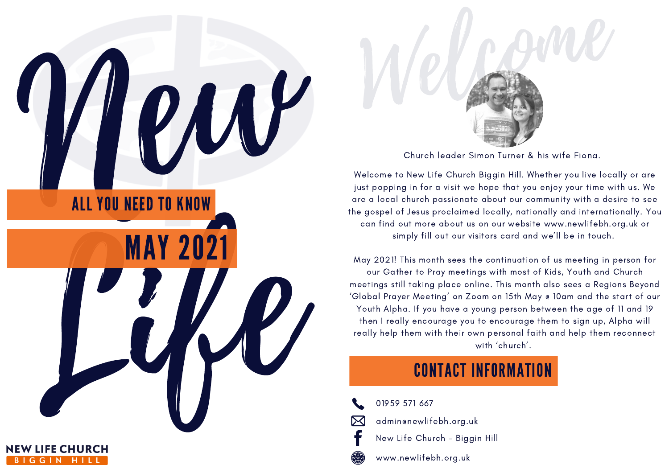May 2021! This month sees the continuation of us meeting in person for our Gather to Pray meetings with most of Kids, Youth and Church meetings still taking place online. This month also sees a Regions Beyond 'Global Prayer Meeting' on Zoom on 15th May @ 10am and the start of our Youth Alpha. If you have a young person between the age of 11 and 19 then I really encourage you to encourage them to sign up, Alpha will really help them with their own personal faith and help them reconnect



www.newlifebh.org.uk

Welcome to New Life Church Biggin Hill. Whether you live locally or are just popping in for a visit we hope that you enjoy your time with us. We are a local church passionate about our community with a desire to see the gospel of Jesus proclaimed locally, nationally and internationally. You can find out more about us on our website [www.newlifebh.org.uk](http://www.newlifebh.org.uk/) or